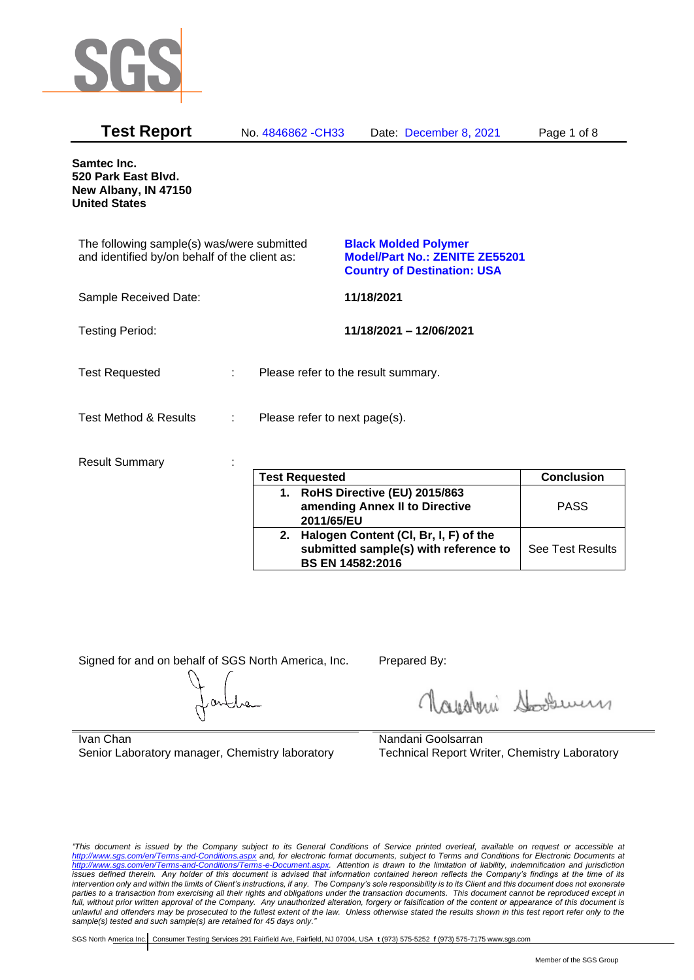

| <b>Test Report</b>                                                                          | No. 4846862 - CH33                 | Date: December 8, 2021                                                                                     | Page 1 of 8 |
|---------------------------------------------------------------------------------------------|------------------------------------|------------------------------------------------------------------------------------------------------------|-------------|
| <b>Samtec Inc.</b><br>520 Park East Blvd.<br>New Albany, IN 47150<br><b>United States</b>   |                                    |                                                                                                            |             |
| The following sample(s) was/were submitted<br>and identified by/on behalf of the client as: |                                    | <b>Black Molded Polymer</b><br><b>Model/Part No.: ZENITE ZE55201</b><br><b>Country of Destination: USA</b> |             |
| Sample Received Date:                                                                       |                                    | 11/18/2021                                                                                                 |             |
| <b>Testing Period:</b>                                                                      |                                    | 11/18/2021 - 12/06/2021                                                                                    |             |
| <b>Test Requested</b>                                                                       | ÷                                  | Please refer to the result summary.                                                                        |             |
| <b>Test Method &amp; Results</b>                                                            | Please refer to next page(s).<br>÷ |                                                                                                            |             |
| <b>Result Summary</b>                                                                       | Teat Damisated                     |                                                                                                            |             |

| <b>Test Requested</b> |                                       | <b>Conclusion</b>       |
|-----------------------|---------------------------------------|-------------------------|
|                       | 1. RoHS Directive (EU) 2015/863       |                         |
|                       | amending Annex II to Directive        | <b>PASS</b>             |
|                       | 2011/65/EU                            |                         |
| 2.                    | Halogen Content (CI, Br, I, F) of the |                         |
|                       | submitted sample(s) with reference to | <b>See Test Results</b> |
|                       | <b>BS EN 14582:2016</b>               |                         |

Signed for and on behalf of SGS North America, Inc. Prepared By:

Roughan Souri

Ivan Chan Senior Laboratory manager, Chemistry laboratory

Nandani Goolsarran Technical Report Writer, Chemistry Laboratory

*"This document is issued by the Company subject to its General Conditions of Service printed overleaf, available on request or accessible at <http://www.sgs.com/en/Terms-and-Conditions.aspx> and, for electronic format documents, subject to Terms and Conditions for Electronic Documents at [http://www.sgs.com/en/Terms-and-Conditions/Terms-e-Document.aspx.](http://www.sgs.com/en/Terms-and-Conditions/Terms-e-Document.aspx) Attention is drawn to the limitation of liability, indemnification and jurisdiction issues defined therein. Any holder of this document is advised that information contained hereon reflects the Company's findings at the time of its intervention only and within the limits of Client's instructions, if any. The Company's sole responsibility is to its Client and this document does not exonerate*  parties to a transaction from exercising all their rights and obligations under the transaction documents. This document cannot be reproduced except in *full, without prior written approval of the Company. Any unauthorized alteration, forgery or falsification of the content or appearance of this document is unlawful and offenders may be prosecuted to the fullest extent of the law. Unless otherwise stated the results shown in this test report refer only to the sample(s) tested and such sample(s) are retained for 45 days only."*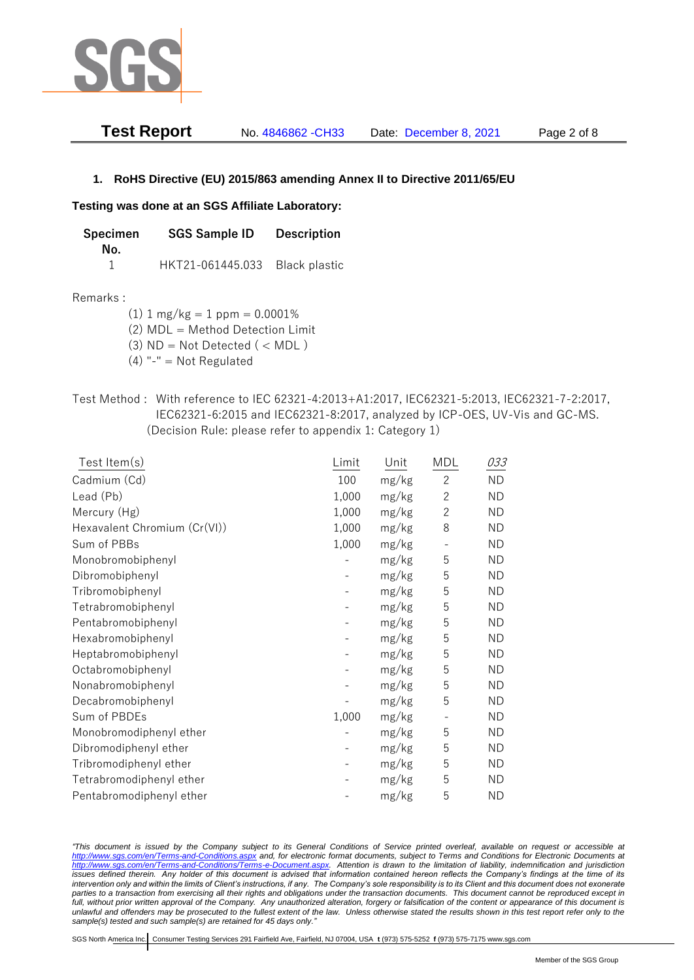

| <b>Test Report</b> | No. 4846862 - CH33 | Date: December 8, 2021 | Page 2 of 8 |
|--------------------|--------------------|------------------------|-------------|
|                    |                    |                        |             |

## **1. RoHS Directive (EU) 2015/863 amending Annex II to Directive 2011/65/EU**

### **Testing was done at an SGS Affiliate Laboratory:**

**Specimen SGS Sample ID Description No.** 1 HKT21-061445.033 Black plastic

#### Remarks :

 $(1)$  1 mg/kg = 1 ppm = 0.0001%

(2) MDL = Method Detection Limit

(3)  $ND = Not detected$  ( < MDL)

- (4) "-" = Not Regulated
- Test Method : With reference to IEC 62321-4:2013+A1:2017, IEC62321-5:2013, IEC62321-7-2:2017, IEC62321-6:2015 and IEC62321-8:2017, analyzed by ICP-OES, UV-Vis and GC-MS. (Decision Rule: please refer to appendix 1: Category 1)

| Test Item(s)                 | Limit | Unit  | MDL            | 033       |
|------------------------------|-------|-------|----------------|-----------|
| Cadmium (Cd)                 | 100   | mg/kg | $\overline{c}$ | <b>ND</b> |
| Lead (Pb)                    | 1,000 | mg/kg | $\overline{2}$ | <b>ND</b> |
| Mercury (Hg)                 | 1,000 | mg/kg | $\overline{2}$ | <b>ND</b> |
| Hexavalent Chromium (Cr(VI)) | 1,000 | mg/kg | 8              | <b>ND</b> |
| Sum of PBBs                  | 1,000 | mg/kg |                | <b>ND</b> |
| Monobromobiphenyl            |       | mg/kg | 5              | <b>ND</b> |
| Dibromobiphenyl              |       | mg/kg | 5              | <b>ND</b> |
| Tribromobiphenyl             |       | mg/kg | 5              | <b>ND</b> |
| Tetrabromobiphenyl           |       | mg/kg | 5              | <b>ND</b> |
| Pentabromobiphenyl           |       | mg/kg | 5              | <b>ND</b> |
| Hexabromobiphenyl            |       | mg/kg | 5              | <b>ND</b> |
| Heptabromobiphenyl           |       | mg/kg | 5              | <b>ND</b> |
| Octabromobiphenyl            |       | mg/kg | 5              | <b>ND</b> |
| Nonabromobiphenyl            |       | mg/kg | 5              | <b>ND</b> |
| Decabromobiphenyl            |       | mg/kg | 5              | <b>ND</b> |
| Sum of PBDEs                 | 1,000 | mg/kg |                | ND        |
| Monobromodiphenyl ether      |       | mg/kg | 5              | <b>ND</b> |
| Dibromodiphenyl ether        |       | mg/kg | 5              | <b>ND</b> |
| Tribromodiphenyl ether       |       | mg/kg | 5              | <b>ND</b> |
| Tetrabromodiphenyl ether     |       | mg/kg | 5              | <b>ND</b> |
| Pentabromodiphenyl ether     |       | mg/kg | 5              | ΝD        |

*"This document is issued by the Company subject to its General Conditions of Service printed overleaf, available on request or accessible at <http://www.sgs.com/en/Terms-and-Conditions.aspx> and, for electronic format documents, subject to Terms and Conditions for Electronic Documents at [http://www.sgs.com/en/Terms-and-Conditions/Terms-e-Document.aspx.](http://www.sgs.com/en/Terms-and-Conditions/Terms-e-Document.aspx) Attention is drawn to the limitation of liability, indemnification and jurisdiction issues defined therein. Any holder of this document is advised that information contained hereon reflects the Company's findings at the time of its intervention only and within the limits of Client's instructions, if any. The Company's sole responsibility is to its Client and this document does not exonerate parties to a transaction from exercising all their rights and obligations under the transaction documents. This document cannot be reproduced except in full, without prior written approval of the Company. Any unauthorized alteration, forgery or falsification of the content or appearance of this document is unlawful and offenders may be prosecuted to the fullest extent of the law. Unless otherwise stated the results shown in this test report refer only to the sample(s) tested and such sample(s) are retained for 45 days only."*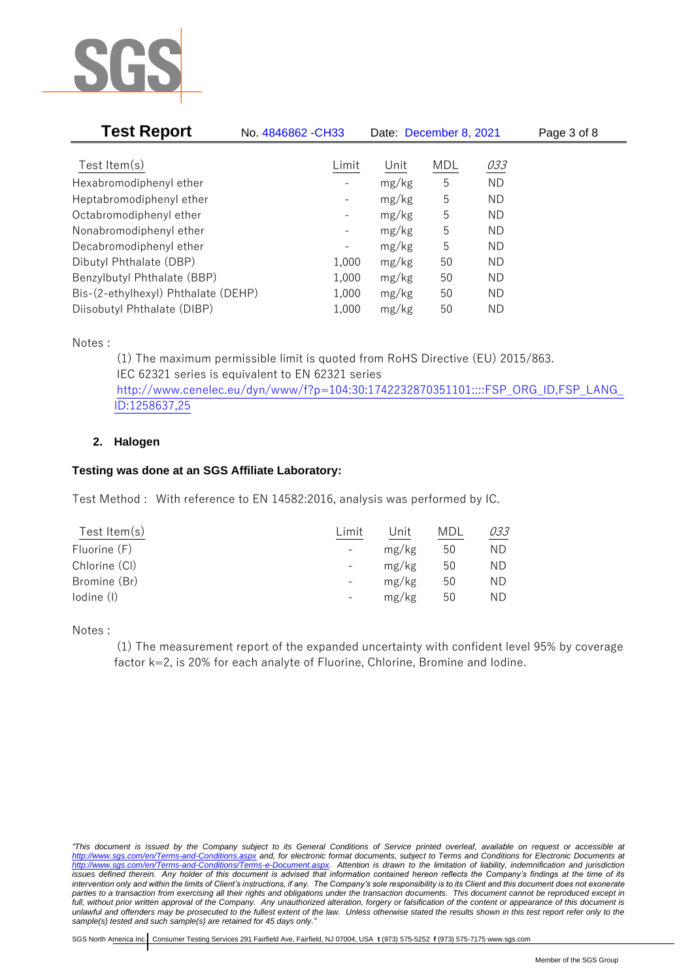

| <b>Test Report</b>                  | No. 4846862 - CH33           | Date: December 8, 2021 |     |           | Page 3 of 8 |  |
|-------------------------------------|------------------------------|------------------------|-----|-----------|-------------|--|
|                                     |                              |                        |     |           |             |  |
| Test Item $(s)$                     | Limit                        | Unit                   | MDL | 033       |             |  |
| Hexabromodiphenyl ether             |                              | mg/kg                  | 5   | <b>ND</b> |             |  |
| Heptabromodiphenyl ether            |                              | mg/kg                  | 5   | ND        |             |  |
| Octabromodiphenyl ether             | $\qquad \qquad \blacksquare$ | mg/kg                  | 5   | ND        |             |  |
| Nonabromodiphenyl ether             | -                            | mg/kg                  | 5   | ND        |             |  |
| Decabromodiphenyl ether             | $\qquad \qquad \blacksquare$ | mg/kg                  | 5   | ND        |             |  |
| Dibutyl Phthalate (DBP)             | 1,000                        | mg/kg                  | 50  | ND        |             |  |
| Benzylbutyl Phthalate (BBP)         | 1,000                        | mg/kg                  | 50  | ND        |             |  |
| Bis-(2-ethylhexyl) Phthalate (DEHP) | 1,000                        | mg/kg                  | 50  | ND        |             |  |
| Diisobutyl Phthalate (DIBP)         | 1,000                        | mg/kg                  | 50  | ΝD        |             |  |

Notes :

(1) The maximum permissible limit is quoted from RoHS Directive (EU) 2015/863. IEC 62321 series is equivalent to EN 62321 series [http://www.cenelec.eu/dyn/www/f?p=104:30:1742232870351101::::FSP\\_ORG\\_ID,FSP\\_LANG\\_](http://www.cenelec.eu/dyn/www/f?p=104:30:1742232870351101::::FSP_ORG_ID,FSP_LANG_ID:1258637,25) [ID:1258637,25](http://www.cenelec.eu/dyn/www/f?p=104:30:1742232870351101::::FSP_ORG_ID,FSP_LANG_ID:1258637,25)

# **2. Halogen**

# **Testing was done at an SGS Affiliate Laboratory:**

Test Method : With reference to EN 14582:2016, analysis was performed by IC.

| Test Item $(s)$ | Limit                    | Unit  | MDL | 033 |
|-----------------|--------------------------|-------|-----|-----|
| Fluorine (F)    | $\overline{\phantom{a}}$ | mg/kg | 50  | ND  |
| Chlorine (CI)   |                          | mg/kg | 50  | ND  |
| Bromine (Br)    |                          | mg/kg | 50  | ND  |
| lodine (I)      | $\overline{\phantom{a}}$ | mg/kg | 50  | ND  |
|                 |                          |       |     |     |

Notes :

(1) The measurement report of the expanded uncertainty with confident level 95% by coverage factor k=2, is 20% for each analyte of Fluorine, Chlorine, Bromine and Iodine.

*<sup>&</sup>quot;This document is issued by the Company subject to its General Conditions of Service printed overleaf, available on request or accessible at <http://www.sgs.com/en/Terms-and-Conditions.aspx> and, for electronic format documents, subject to Terms and Conditions for Electronic Documents at [http://www.sgs.com/en/Terms-and-Conditions/Terms-e-Document.aspx.](http://www.sgs.com/en/Terms-and-Conditions/Terms-e-Document.aspx) Attention is drawn to the limitation of liability, indemnification and jurisdiction issues defined therein. Any holder of this document is advised that information contained hereon reflects the Company's findings at the time of its intervention only and within the limits of Client's instructions, if any. The Company's sole responsibility is to its Client and this document does not exonerate parties to a transaction from exercising all their rights and obligations under the transaction documents. This document cannot be reproduced except in full, without prior written approval of the Company. Any unauthorized alteration, forgery or falsification of the content or appearance of this document is unlawful and offenders may be prosecuted to the fullest extent of the law. Unless otherwise stated the results shown in this test report refer only to the sample(s) tested and such sample(s) are retained for 45 days only."*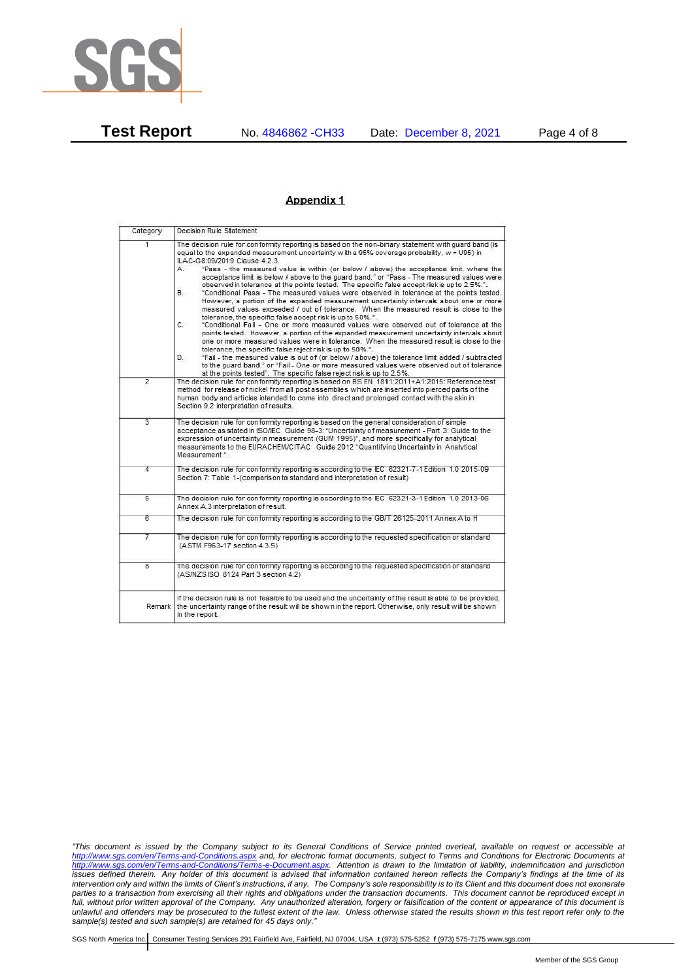

**Test Report** No. 4846862 -CH33 Date: December 8, 2021 Page 4 of 8

#### Appendix 1

| Category                | Decision Rule Statement                                                                                                                                                                                                                                                                                                                                                                                                                                                                                                                                                                                                                                                                                                                                                                                                                                                                                                                                                                                                                                                                                                                                                                                                                                                                                                                                                                                                                   |  |  |  |
|-------------------------|-------------------------------------------------------------------------------------------------------------------------------------------------------------------------------------------------------------------------------------------------------------------------------------------------------------------------------------------------------------------------------------------------------------------------------------------------------------------------------------------------------------------------------------------------------------------------------------------------------------------------------------------------------------------------------------------------------------------------------------------------------------------------------------------------------------------------------------------------------------------------------------------------------------------------------------------------------------------------------------------------------------------------------------------------------------------------------------------------------------------------------------------------------------------------------------------------------------------------------------------------------------------------------------------------------------------------------------------------------------------------------------------------------------------------------------------|--|--|--|
| $\overline{1}$          | The decision rule for conformity reporting is based on the non-binary statement with quard band (is<br>equal to the expanded measurement uncertainty with a 95% coverage probability, w = U95) in<br>ILAC-G8:09/2019 Clause 4.2.3.<br>"Pass - the measured value is within (or below / above) the acceptance limit, where the<br>A<br>acceptance limit is below / above to the quard band." or "Pass - The measured values were<br>observed in tolerance at the points tested. The specific false accept risk is up to 2.5%.".<br>"Conditional Pass - The measured values were observed in tolerance at the points tested.<br>В.<br>However, a portion of the expanded measurement uncertainty intervals about one or more<br>measured values exceeded / out of tolerance. When the measured result is close to the<br>tolerance, the specific false accept risk is up to 50%.".<br>C.<br>"Conditional Fail - One or more measured values were observed out of tolerance at the<br>points tested. However, a portion of the expanded measurement uncertainty intervals about<br>one or more measured values were in tolerance. When the measured result is close to the<br>tolerance, the specific false reject risk is up to 50%.".<br>"Fail - the measured value is out of (or below / above) the tolerance limit added / subtracted<br>D.<br>to the quard band." or "Fail - One or more measured values were observed out of tolerance |  |  |  |
| $\overline{2}$          | at the points tested". The specific false reject risk is up to 2.5%.<br>The decision rule for conformity reporting is based on BS EN 1811:2011+A1:2015: Reference test<br>method for release of nickel from all post assemblies which are inserted into pierced parts of the<br>human body and articles intended to come into direct and prolonged contact with the skin in<br>Section 9.2 interpretation of results.                                                                                                                                                                                                                                                                                                                                                                                                                                                                                                                                                                                                                                                                                                                                                                                                                                                                                                                                                                                                                     |  |  |  |
| $\overline{3}$          | The decision rule for conformity reporting is based on the general consideration of simple<br>acceptance as stated in ISO/IEC Guide 98-3: "Uncertainty of measurement - Part 3: Guide to the<br>expression of uncertainty in measurement (GUM 1995)", and more specifically for analytical<br>measurements to the EURACHEM/CITAC Guide 2012 "Quantifying Uncertainty in Analytical<br>Measurement *                                                                                                                                                                                                                                                                                                                                                                                                                                                                                                                                                                                                                                                                                                                                                                                                                                                                                                                                                                                                                                       |  |  |  |
| 4                       | The decision rule for conformity reporting is according to the IEC 62321-7-1 Edition 1.0 2015-09<br>Section 7: Table 1-(comparison to standard and interpretation of result)                                                                                                                                                                                                                                                                                                                                                                                                                                                                                                                                                                                                                                                                                                                                                                                                                                                                                                                                                                                                                                                                                                                                                                                                                                                              |  |  |  |
| $\overline{5}$          | The decision rule for conformity reporting is according to the IEC 62321-3-1 Edition 1.0 2013-06<br>Annex A.3 interpretation of result.                                                                                                                                                                                                                                                                                                                                                                                                                                                                                                                                                                                                                                                                                                                                                                                                                                                                                                                                                                                                                                                                                                                                                                                                                                                                                                   |  |  |  |
| 6                       | The decision rule for conformity reporting is according to the GB/T 26125-2011 Annex A to H                                                                                                                                                                                                                                                                                                                                                                                                                                                                                                                                                                                                                                                                                                                                                                                                                                                                                                                                                                                                                                                                                                                                                                                                                                                                                                                                               |  |  |  |
| 7                       | The decision rule for conformity reporting is according to the requested specification or standard<br>(ASTM F963-17 section 4.3.5)                                                                                                                                                                                                                                                                                                                                                                                                                                                                                                                                                                                                                                                                                                                                                                                                                                                                                                                                                                                                                                                                                                                                                                                                                                                                                                        |  |  |  |
| $\overline{\mathbf{g}}$ | The decision rule for conformity reporting is according to the requested specification or standard<br>(AS/NZS ISO 8124 Part 3 section 4.2)                                                                                                                                                                                                                                                                                                                                                                                                                                                                                                                                                                                                                                                                                                                                                                                                                                                                                                                                                                                                                                                                                                                                                                                                                                                                                                |  |  |  |
| Remark                  | If the decision rule is not feasible to be used and the uncertainty of the result is able to be provided,<br>the uncertainty range of the result will be shown in the report. Otherwise, only result will be shown<br>in the report.                                                                                                                                                                                                                                                                                                                                                                                                                                                                                                                                                                                                                                                                                                                                                                                                                                                                                                                                                                                                                                                                                                                                                                                                      |  |  |  |

*"This document is issued by the Company subject to its General Conditions of Service printed overleaf, available on request or accessible at <http://www.sgs.com/en/Terms-and-Conditions.aspx> and, for electronic format documents, subject to Terms and Conditions for Electronic Documents at [http://www.sgs.com/en/Terms-and-Conditions/Terms-e-Document.aspx.](http://www.sgs.com/en/Terms-and-Conditions/Terms-e-Document.aspx) Attention is drawn to the limitation of liability, indemnification and jurisdiction issues defined therein. Any holder of this document is advised that information contained hereon reflects the Company's findings at the time of its intervention only and within the limits of Client's instructions, if any. The Company's sole responsibility is to its Client and this document does not exonerate parties to a transaction from exercising all their rights and obligations under the transaction documents. This document cannot be reproduced except in full, without prior written approval of the Company. Any unauthorized alteration, forgery or falsification of the content or appearance of this document is unlawful and offenders may be prosecuted to the fullest extent of the law. Unless otherwise stated the results shown in this test report refer only to the sample(s) tested and such sample(s) are retained for 45 days only."*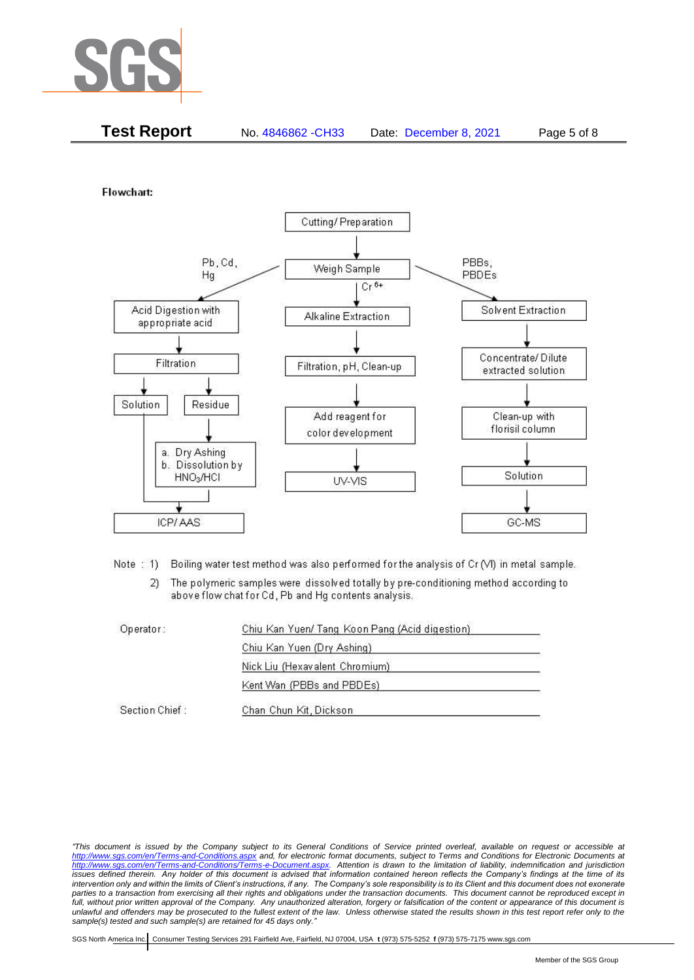

| <b>Test Report</b><br>No. 4846862 - CH33<br>Page 5 of 8<br>Date: December 8, 2021 |
|-----------------------------------------------------------------------------------|
|-----------------------------------------------------------------------------------|

Flowchart:



Note: 1) Boiling water test method was also performed for the analysis of Cr (VI) in metal sample.

The polymeric samples were dissolved totally by pre-conditioning method according to  $2)$ above flow chat for Cd, Pb and Hg contents analysis.

| Operator:      | Chiu Kan Yuen/ Tang Koon Pang (Acid digestion) |  |
|----------------|------------------------------------------------|--|
|                | Chiu Kan Yuen (Dry Ashing)                     |  |
|                | Nick Liu (Hexavalent Chromium)                 |  |
|                | Kent Wan (PBBs and PBDEs)                      |  |
| Section Chief: | Chan Chun Kit, Dickson                         |  |

*<sup>&</sup>quot;This document is issued by the Company subject to its General Conditions of Service printed overleaf, available on request or accessible at <http://www.sgs.com/en/Terms-and-Conditions.aspx> and, for electronic format documents, subject to Terms and Conditions for Electronic Documents at [http://www.sgs.com/en/Terms-and-Conditions/Terms-e-Document.aspx.](http://www.sgs.com/en/Terms-and-Conditions/Terms-e-Document.aspx) Attention is drawn to the limitation of liability, indemnification and jurisdiction issues defined therein. Any holder of this document is advised that information contained hereon reflects the Company's findings at the time of its intervention only and within the limits of Client's instructions, if any. The Company's sole responsibility is to its Client and this document does not exonerate parties to a transaction from exercising all their rights and obligations under the transaction documents. This document cannot be reproduced except in full, without prior written approval of the Company. Any unauthorized alteration, forgery or falsification of the content or appearance of this document is unlawful and offenders may be prosecuted to the fullest extent of the law. Unless otherwise stated the results shown in this test report refer only to the sample(s) tested and such sample(s) are retained for 45 days only."*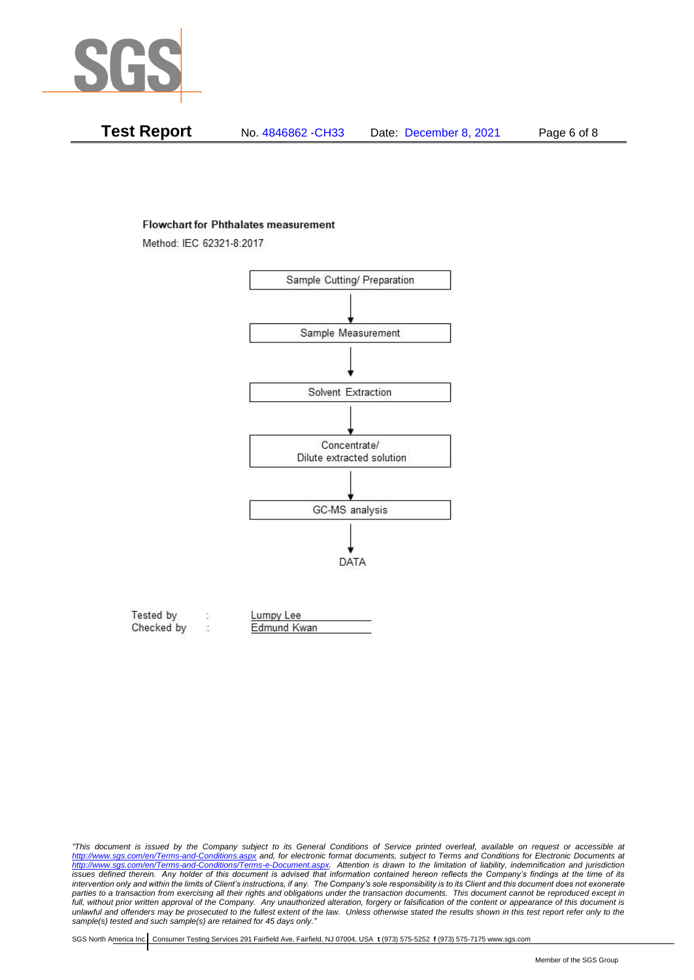

| Test Report | No. 4846862 - CH33 | Date: December 8, 2021 | Page 6 of 8 |
|-------------|--------------------|------------------------|-------------|
|-------------|--------------------|------------------------|-------------|

#### **Flowchart for Phthalates measurement**

Method: IEC 62321-8:2017



| Tested by  | Lumpy Lee   |  |
|------------|-------------|--|
| Checked by | Edmund Kwan |  |

*<sup>&</sup>quot;This document is issued by the Company subject to its General Conditions of Service printed overleaf, available on request or accessible at <http://www.sgs.com/en/Terms-and-Conditions.aspx> and, for electronic format documents, subject to Terms and Conditions for Electronic Documents at [http://www.sgs.com/en/Terms-and-Conditions/Terms-e-Document.aspx.](http://www.sgs.com/en/Terms-and-Conditions/Terms-e-Document.aspx) Attention is drawn to the limitation of liability, indemnification and jurisdiction issues defined therein. Any holder of this document is advised that information contained hereon reflects the Company's findings at the time of its intervention only and within the limits of Client's instructions, if any. The Company's sole responsibility is to its Client and this document does not exonerate*  parties to a transaction from exercising all their rights and obligations under the transaction documents. This document cannot be reproduced except in *full, without prior written approval of the Company. Any unauthorized alteration, forgery or falsification of the content or appearance of this document is unlawful and offenders may be prosecuted to the fullest extent of the law. Unless otherwise stated the results shown in this test report refer only to the sample(s) tested and such sample(s) are retained for 45 days only."*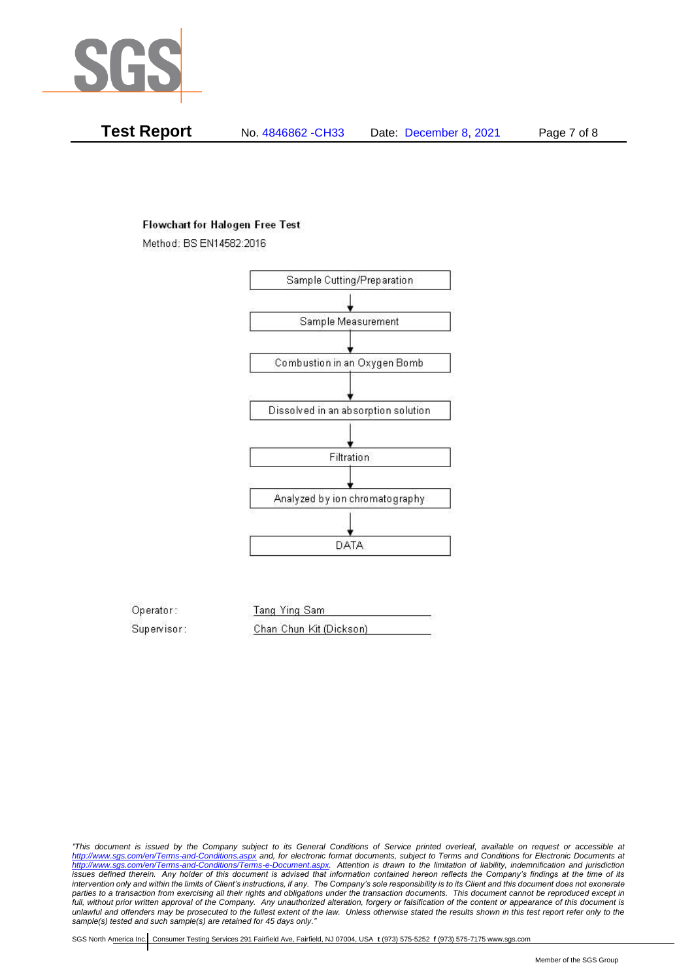

**Test Report** No. 4846862 -CH33 Date: December 8, 2021 Page 7 of 8

### **Flowchart for Halogen Free Test**

Method: BS EN14582:2016



Operator: Tang Ying Sam Supervisor: Chan Chun Kit (Dickson)

*"This document is issued by the Company subject to its General Conditions of Service printed overleaf, available on request or accessible at <http://www.sgs.com/en/Terms-and-Conditions.aspx> and, for electronic format documents, subject to Terms and Conditions for Electronic Documents at [http://www.sgs.com/en/Terms-and-Conditions/Terms-e-Document.aspx.](http://www.sgs.com/en/Terms-and-Conditions/Terms-e-Document.aspx) Attention is drawn to the limitation of liability, indemnification and jurisdiction issues defined therein. Any holder of this document is advised that information contained hereon reflects the Company's findings at the time of its intervention only and within the limits of Client's instructions, if any. The Company's sole responsibility is to its Client and this document does not exonerate parties to a transaction from exercising all their rights and obligations under the transaction documents. This document cannot be reproduced except in full, without prior written approval of the Company. Any unauthorized alteration, forgery or falsification of the content or appearance of this document is unlawful and offenders may be prosecuted to the fullest extent of the law. Unless otherwise stated the results shown in this test report refer only to the sample(s) tested and such sample(s) are retained for 45 days only."*